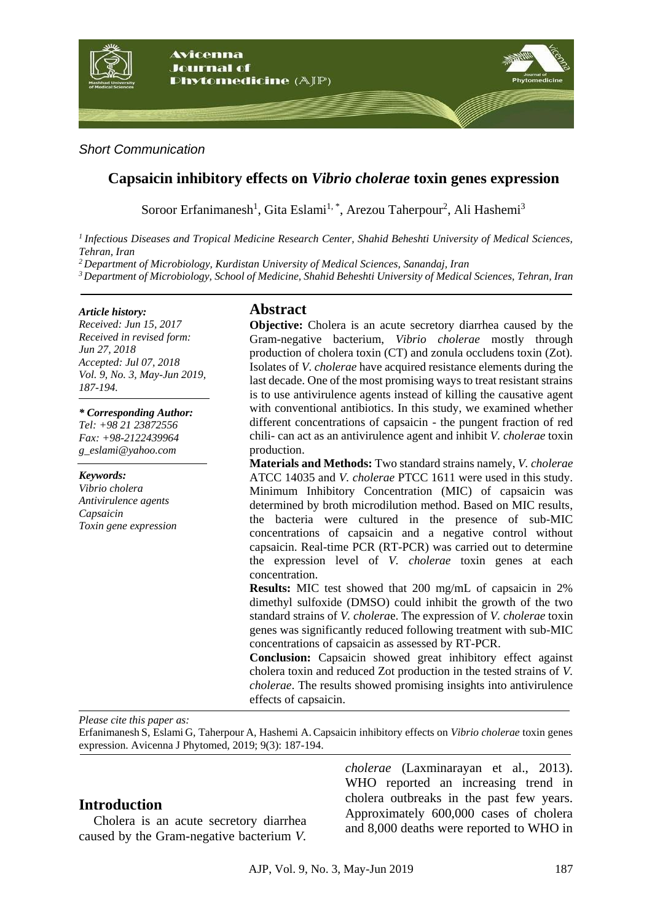

#### *Short Communication*

# **Capsaicin inhibitory effects on** *Vibrio cholerae* **toxin genes expression**

Soroor Erfanimanesh<sup>1</sup>, Gita Eslami<sup>1,\*</sup>, Arezou Taherpour<sup>2</sup>, Ali Hashemi<sup>3</sup>

*<sup>1</sup>Infectious Diseases and Tropical Medicine Research Center, Shahid Beheshti University of Medical Sciences, Tehran, Iran*

*<sup>2</sup> Department of Microbiology, Kurdistan University of Medical Sciences, Sanandaj, Iran*

*<sup>3</sup>Department of Microbiology, School of Medicine, Shahid Beheshti University of Medical Sciences, Tehran, Iran*

#### *Article history:*

*Received: Jun 15, 2017 Received in revised form: Jun 27, 2018 Accepted: Jul 07, 2018 Vol. 9, No. 3, May-Jun 2019, 187-194.*

*\* Corresponding Author: Tel: +98 21 23872556 Fax: +98-2122439964 g\_eslami@yahoo.com* 

#### *Keywords:*

*Vibrio cholera Antivirulence agents Capsaicin Toxin gene expression*

#### **Abstract**

**Objective:** Cholera is an acute secretory diarrhea caused by the Gram-negative bacterium, *Vibrio cholerae* mostly through production of cholera toxin (CT) and zonula occludens toxin (Zot)*.* Isolates of *V. cholerae* have acquired resistance elements during the last decade. One of the most promising ways to treat resistant strains is to use antivirulence agents instead of killing the causative agent with conventional antibiotics. In this study, we examined whether different concentrations of capsaicin - the pungent fraction of red chili- can act as an antivirulence agent and inhibit *V. cholerae* toxin production.

**Materials and Methods:** Two standard strains namely, *V. cholerae*  ATCC 14035 and *V. cholerae* PTCC 1611 were used in this study. Minimum Inhibitory Concentration (MIC) of capsaicin was determined by broth microdilution method. Based on MIC results, the bacteria were cultured in the presence of sub-MIC concentrations of capsaicin and a negative control without capsaicin. Real-time PCR (RT-PCR) was carried out to determine the expression level of *V. cholerae* toxin genes at each concentration.

**Results:** MIC test showed that 200 mg/mL of capsaicin in 2% dimethyl sulfoxide (DMSO) could inhibit the growth of the two standard strains of *V. cholera*e. The expression of *V. cholerae* toxin genes was significantly reduced following treatment with sub-MIC concentrations of capsaicin as assessed by RT-PCR.

**Conclusion:** Capsaicin showed great inhibitory effect against cholera toxin and reduced Zot production in the tested strains of *V. cholerae*. The results showed promising insights into antivirulence effects of capsaicin.

*Please cite this paper as:* 

Erfanimanesh S, Eslami G, Taherpour A, Hashemi A.Capsaicin inhibitory effects on *Vibrio cholerae* toxin genes expression. Avicenna J Phytomed, 2019; 9(3): 187-194.

## **Introduction**

Cholera is an acute secretory diarrhea caused by the Gram-negative bacterium *V.* 

*cholerae* [\(Laxminarayan et al.,](file:///D:/AJP/Articles-2017/6-Jun/AJP-1706-1888/AJP-1706-1888%20(R1).doc%23_ENREF_12) 2013). WHO reported an increasing trend in cholera outbreaks in the past few years. Approximately 600,000 cases of cholera and 8,000 deaths were reported to WHO in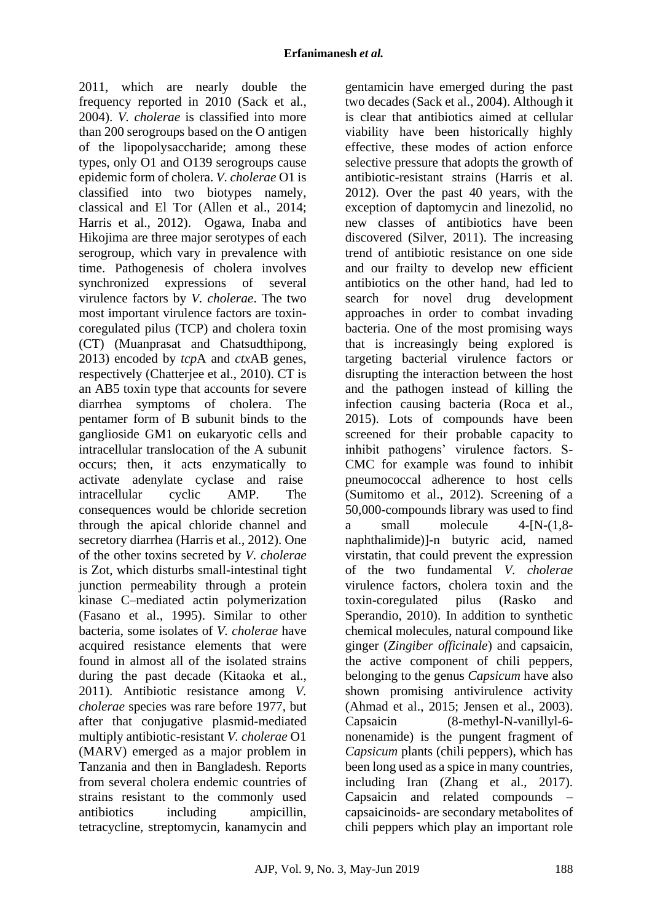2011, which are nearly double the frequency reported in 2010 [\(Sack et al.,](file:///D:/AJP/Articles-2017/6-Jun/AJP-1706-1888/AJP-1706-1888%20(R1).doc%23_ENREF_20) [2004\)](file:///D:/AJP/Articles-2017/6-Jun/AJP-1706-1888/AJP-1706-1888%20(R1).doc%23_ENREF_20). *V. cholerae* is classified into more than 200 serogroups based on the O antigen of the lipopolysaccharide; among these types, only O1 and O139 serogroups cause epidemic form of cholera. *V. cholerae* O1 is classified into two biotypes namely, classical and El Tor [\(Allen et al.,](file:///D:/AJP/Articles-2017/6-Jun/AJP-1706-1888/AJP-1706-1888%20(R1).doc%23_ENREF_2) 2014; [Harris et al.,](file:///D:/AJP/Articles-2017/6-Jun/AJP-1706-1888/AJP-1706-1888%20(R1).doc%23_ENREF_7) 2012). Ogawa, Inaba and Hikojima are three major serotypes of each serogroup, which vary in prevalence with time. Pathogenesis of cholera involves synchronized expressions of several virulence factors by *V. cholerae*. The two most important virulence factors are toxincoregulated pilus (TCP) and cholera toxin (CT) [\(Muanprasat and Chatsudthipong,](file:///D:/AJP/Articles-2017/6-Jun/AJP-1706-1888/AJP-1706-1888%20(R1).doc%23_ENREF_16) [2013\)](file:///D:/AJP/Articles-2017/6-Jun/AJP-1706-1888/AJP-1706-1888%20(R1).doc%23_ENREF_16) encoded by *tcp*A and *ctx*AB genes, respectively [\(Chatterjee et al.,](file:///D:/AJP/Articles-2017/6-Jun/AJP-1706-1888/AJP-1706-1888%20(R1).doc%23_ENREF_4) 2010). CT is an AB5 toxin type that accounts for severe diarrhea symptoms of cholera. The pentamer form of B subunit binds to the ganglioside GM1 on eukaryotic cells and intracellular translocation of the A subunit occurs; then, it acts enzymatically to activate adenylate cyclase and raise intracellular cyclic AMP. The consequences would be chloride secretion through the apical chloride channel and secretory diarrhea [\(Harris et al.,](file:///D:/AJP/Articles-2017/6-Jun/AJP-1706-1888/AJP-1706-1888%20(R1).doc%23_ENREF_7) 2012). One of the other toxins secreted by *V. cholerae* is Zot, which disturbs small-intestinal tight junction permeability through a protein kinase C–mediated actin polymerization [\(Fasano et al.,](file:///D:/AJP/Articles-2017/6-Jun/AJP-1706-1888/AJP-1706-1888%20(R1).doc%23_ENREF_6) 1995). Similar to other bacteria, some isolates of *V. cholerae* have acquired resistance elements that were found in almost all of the isolated strains during the past decade [\(Kitaoka et al.,](file:///D:/AJP/Articles-2017/6-Jun/AJP-1706-1888/AJP-1706-1888%20(R1).doc%23_ENREF_10) [2011\)](file:///D:/AJP/Articles-2017/6-Jun/AJP-1706-1888/AJP-1706-1888%20(R1).doc%23_ENREF_10). Antibiotic resistance among *V. cholerae* species was rare before 1977, but after that conjugative plasmid-mediated multiply antibiotic-resistant *V. cholerae* O1 (MARV) emerged as a major problem in Tanzania and then in Bangladesh. Reports from several cholera endemic countries of strains resistant to the commonly used antibiotics including ampicillin, tetracycline, streptomycin, kanamycin and

gentamicin have emerged during the past two decades [\(Sack et al.,](file:///D:/AJP/Articles-2017/6-Jun/AJP-1706-1888/AJP-1706-1888%20(R1).doc%23_ENREF_20) 2004). Although it is clear that antibiotics aimed at cellular viability have been historically highly effective, these modes of action enforce selective pressure that adopts the growth of antibiotic-resistant strains [\(Harris et al.](file:///D:/AJP/Articles-2017/6-Jun/AJP-1706-1888/AJP-1706-1888%20(R1).doc%23_ENREF_7)  [2012\)](file:///D:/AJP/Articles-2017/6-Jun/AJP-1706-1888/AJP-1706-1888%20(R1).doc%23_ENREF_7). Over the past 40 years, with the exception of daptomycin and linezolid, no new classes of antibiotics have been discovered [\(Silver,](file:///D:/AJP/Articles-2017/6-Jun/AJP-1706-1888/AJP-1706-1888%20(R1).doc%23_ENREF_22) 2011). The increasing trend of antibiotic resistance on one side and our frailty to develop new efficient antibiotics on the other hand, had led to search for novel drug development approaches in order to combat invading bacteria. One of the most promising ways that is increasingly being explored is targeting bacterial virulence factors or disrupting the interaction between the host and the pathogen instead of killing the infection causing bacteria [\(Roca et al.,](file:///D:/AJP/Articles-2017/6-Jun/AJP-1706-1888/AJP-1706-1888%20(R1).doc%23_ENREF_19) [2015\)](file:///D:/AJP/Articles-2017/6-Jun/AJP-1706-1888/AJP-1706-1888%20(R1).doc%23_ENREF_19). Lots of compounds have been screened for their probable capacity to inhibit pathogens' virulence factors. S-CMC for example was found to inhibit pneumococcal adherence to host cells [\(Sumitomo et al.,](file:///D:/AJP/Articles-2017/6-Jun/AJP-1706-1888/AJP-1706-1888%20(R1).doc%23_ENREF_24) 2012). Screening of a 50,000-compounds library was used to find a small molecule 4-[N-(1,8 naphthalimide)]-n butyric acid, named virstatin, that could prevent the expression of the two fundamental *V. cholerae* virulence factors, cholera toxin and the toxin-coregulated pilus [\(Rasko and](file:///D:/AJP/Articles-2017/6-Jun/AJP-1706-1888/AJP-1706-1888%20(R1).doc%23_ENREF_18)  [Sperandio,](file:///D:/AJP/Articles-2017/6-Jun/AJP-1706-1888/AJP-1706-1888%20(R1).doc%23_ENREF_18) 2010). In addition to synthetic chemical molecules, natural compound like ginger (*Zingiber officinale*) and capsaicin, the active component of chili peppers, belonging to the genus *Capsicum* have also shown promising antivirulence activity [\(Ahmad et al.,](file:///D:/AJP/Articles-2017/6-Jun/AJP-1706-1888/AJP-1706-1888%20(R1).doc%23_ENREF_1) 2015; [Jensen et al.,](file:///D:/AJP/Articles-2017/6-Jun/AJP-1706-1888/AJP-1706-1888%20(R1).doc%23_ENREF_8) 2003). Capsaicin (8-methyl-N-vanillyl-6 nonenamide) is the pungent fragment of *Capsicum* plants (chili peppers), which has been long used as a spice in many countries, including Iran [\(Zhang et al.,](file:///D:/AJP/Articles-2017/6-Jun/AJP-1706-1888/AJP-1706-1888%20(R1).doc%23_ENREF_27) 2017). Capsaicin and related compounds – capsaicinoids- are secondary metabolites of chili peppers which play an important role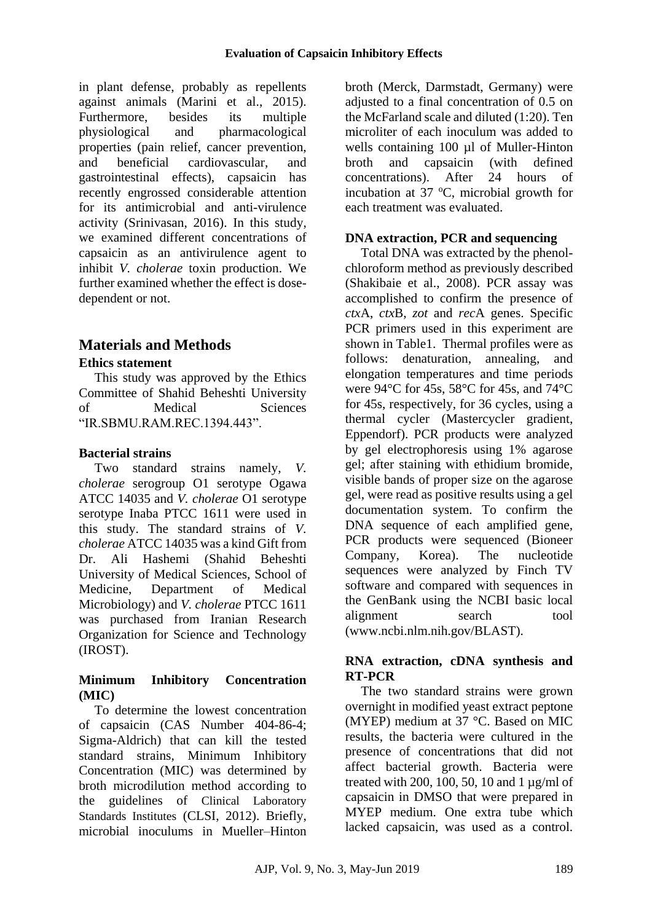in plant defense, probably as repellents against animals [\(Marini et al.,](file:///D:/AJP/Articles-2017/6-Jun/AJP-1706-1888/AJP-1706-1888%20(R1).doc%23_ENREF_13) 2015). Furthermore, besides its multiple physiological and pharmacological properties (pain relief, cancer prevention, and beneficial cardiovascular, and gastrointestinal effects), capsaicin has recently engrossed considerable attention for its antimicrobial and anti-virulence activity [\(Srinivasan,](file:///D:/AJP/Articles-2017/6-Jun/AJP-1706-1888/AJP-1706-1888%20(R1).doc%23_ENREF_23) 2016). In this study, we examined different concentrations of capsaicin as an antivirulence agent to inhibit *V. cholerae* toxin production. We further examined whether the effect is dosedependent or not.

# **Materials and Methods**

## **Ethics statement**

This study was approved by the Ethics Committee of Shahid Beheshti University of Medical Sciences "IR.SBMU.RAM.REC.1394.443".

## **Bacterial strains**

Two standard strains namely, *V. cholerae* serogroup O1 serotype Ogawa ATCC 14035 and *V. cholerae* O1 serotype serotype Inaba PTCC 1611 were used in this study. The standard strains of *V. cholerae* ATCC 14035 was a kind Gift from Dr. Ali Hashemi (Shahid Beheshti University of Medical Sciences, School of Medicine, Department of Medical Microbiology) and *V. cholerae* PTCC 1611 was purchased from Iranian Research Organization for Science and Technology (IROST).

## **Minimum Inhibitory Concentration (MIC)**

To determine the lowest concentration of capsaicin (CAS Number 404-86-4; Sigma-Aldrich) that can kill the tested standard strains, Minimum Inhibitory Concentration (MIC) was determined by broth microdilution method according to the guidelines of Clinical Laboratory Standards Institutes (CLSI, 2012). Briefly, microbial inoculums in Mueller–Hinton

broth (Merck*,* Darmstadt, Germany) were adjusted to a final concentration of 0.5 on the McFarland scale and diluted (1:20). Ten microliter of each inoculum was added to wells containing 100 µl of Muller-Hinton<br>broth and capsaicin (with defined broth and capsaicin (with defined concentrations). After 24 hours of incubation at 37  $\mathrm{^{\circ}C}$ , microbial growth for each treatment was evaluated.

## **DNA extraction, PCR and sequencing**

Total DNA was extracted by the phenolchloroform method as previously described [\(Shakibaie et al.,](file:///D:/AJP/Articles-2017/6-Jun/AJP-1706-1888/AJP-1706-1888%20(R1).doc%23_ENREF_21) 2008). PCR assay was accomplished to confirm the presence of *ctx*A, *ctx*B, *zot* and *rec*A genes. Specific PCR primers used in this experiment are shown in Table1. Thermal profiles were as follows: denaturation, annealing, and elongation temperatures and time periods were 94°C for 45s, 58°C for 45s, and 74°C for 45s, respectively, for 36 cycles, using a thermal cycler (Mastercycler gradient, Eppendorf). PCR products were analyzed by gel electrophoresis using 1% agarose gel; after staining with ethidium bromide, visible bands of proper size on the agarose gel, were read as positive results using a gel documentation system. To confirm the DNA sequence of each amplified gene, PCR products were sequenced (Bioneer Company, Korea). The nucleotide sequences were analyzed by Finch TV software and compared with sequences in the GenBank using the NCBI basic local alignment search tool (www.ncbi.nlm.nih.gov/BLAST).

## **RNA extraction, cDNA synthesis and RT-PCR**

The two standard strains were grown overnight in modified yeast extract peptone (MYEP) medium at 37 °C. Based on MIC results, the bacteria were cultured in the presence of concentrations that did not affect bacterial growth. Bacteria were treated with 200, 100, 50, 10 and 1  $\mu$ g/ml of capsaicin in DMSO that were prepared in MYEP medium. One extra tube which lacked capsaicin, was used as a control.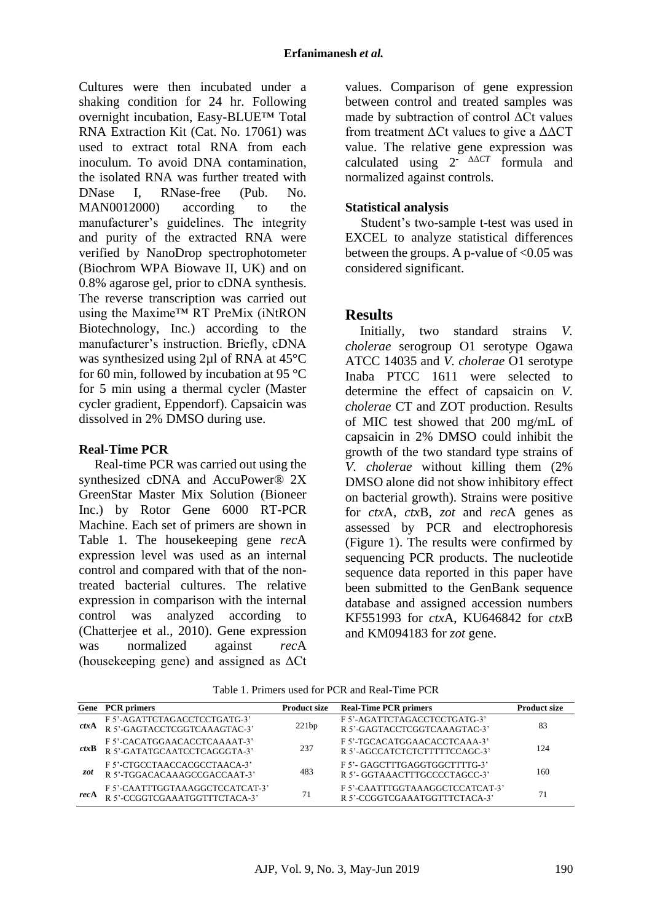Cultures were then incubated under a shaking condition for 24 hr. Following overnight incubation, Easy-BLUE™ Total RNA Extraction Kit (Cat. No. 17061) was used to extract total RNA from each inoculum. To avoid DNA contamination, the isolated RNA was further treated with DNase I, RNase-free (Pub. No. MAN0012000) according to the manufacturer's guidelines. The integrity and purity of the extracted RNA were verified by NanoDrop spectrophotometer (Biochrom WPA Biowave II, UK) and on 0.8% agarose gel, prior to cDNA synthesis. The reverse transcription was carried out using the Maxime™ RT PreMix (iNtRON Biotechnology, Inc*.*) according to the manufacturer's instruction. Briefly, cDNA was synthesized using 2µl of RNA at 45°C for 60 min, followed by incubation at 95 °C for 5 min using a thermal cycler (Master cycler gradient, Eppendorf). Capsaicin was dissolved in 2% DMSO during use.

#### **Real-Time PCR**

Real-time PCR was carried out using the synthesized cDNA and AccuPower® 2X GreenStar Master Mix Solution (Bioneer Inc.) by Rotor Gene 6000 RT*-*PCR Machine. Each set of primers are shown in Table 1. The housekeeping gene *rec*A expression level was used as an internal control and compared with that of the nontreated bacterial cultures. The relative expression in comparison with the internal control was analyzed according to [\(Chatterjee et al., 2010\)](file:///D:/AJP/Articles-2017/6-Jun/AJP-1706-1888/AJP-1706-1888%20(R1).doc%23_ENREF_4). Gene expression was normalized against *rec*A (housekeeping gene) and assigned as ΔCt

values. Comparison of gene expression between control and treated samples was made by subtraction of control ΔCt values from treatment ΔCt values to give a ΔΔCT value. The relative gene expression was calculated using 2- ΔΔ*CT* formula and normalized against controls.

## **Statistical analysis**

Student's two-sample t-test was used in EXCEL to analyze statistical differences between the groups. A p-value of  $< 0.05$  was considered significant.

# **Results**

Initially, two standard strains *V. cholerae* serogroup O1 serotype Ogawa ATCC 14035 and *V. cholerae* O1 serotype Inaba PTCC 1611 were selected to determine the effect of capsaicin on *V. cholerae* CT and ZOT production. Results of MIC test showed that 200 mg/mL of capsaicin in 2% DMSO could inhibit the growth of the two standard type strains of *V. cholerae* without killing them (2% DMSO alone did not show inhibitory effect on bacterial growth). Strains were positive for *ctx*A, *ctx*B, *zot* and *rec*A genes as assessed by PCR and electrophoresis (Figure 1). The results were confirmed by sequencing PCR products. The nucleotide sequence data reported in this paper have been submitted to the GenBank sequence database and assigned accession numbers KF551993 for *ctx*A, KU646842 for *ctx*B and KM094183 for *zot* gene.

|                 | Gene PCR primers                                                 | <b>Product size</b> | <b>Real-Time PCR primers</b>                                     | <b>Product size</b> |
|-----------------|------------------------------------------------------------------|---------------------|------------------------------------------------------------------|---------------------|
| $\mathit{ctxA}$ | F 5'-AGATTCTAGACCTCCTGATG-3'<br>R 5'-GAGTACCTCGGTCAAAGTAC-3'     | 221bp               | F 5'-AGATTCTAGACCTCCTGATG-3'<br>R 5'-GAGTACCTCGGTCAAAGTAC-3'     | 83                  |
| ctxB            | F 5'-CACATGGAACACCTCAAAAT-3'<br>R 5'-GATATGCAATCCTCAGGGTA-3'     | 237                 | F 5'-TGCACATGGAACACCTCAAA-3'<br>R 5'-AGCCATCTCTCTTTTTCCAGC-3'    | 124                 |
| zot             | F 5'-CTGCCTAACCACGCCTAACA-3'<br>R 5'-TGGACACAAAGCCGACCAAT-3'     | 483                 | F 5'- GAGCTTTGAGGTGGCTTTTG-3'<br>R 5'-GGTAAACTTTGCCCCTAGCC-3'    | 160                 |
| recA            | F 5'-CAATTTGGTAAAGGCTCCATCAT-3'<br>R 5'-CCGGTCGAAATGGTTTCTACA-3' | 71                  | F 5'-CAATTTGGTAAAGGCTCCATCAT-3'<br>R 5'-CCGGTCGAAATGGTTTCTACA-3' | 71                  |

Table 1. Primers used for PCR and Real-Time PCR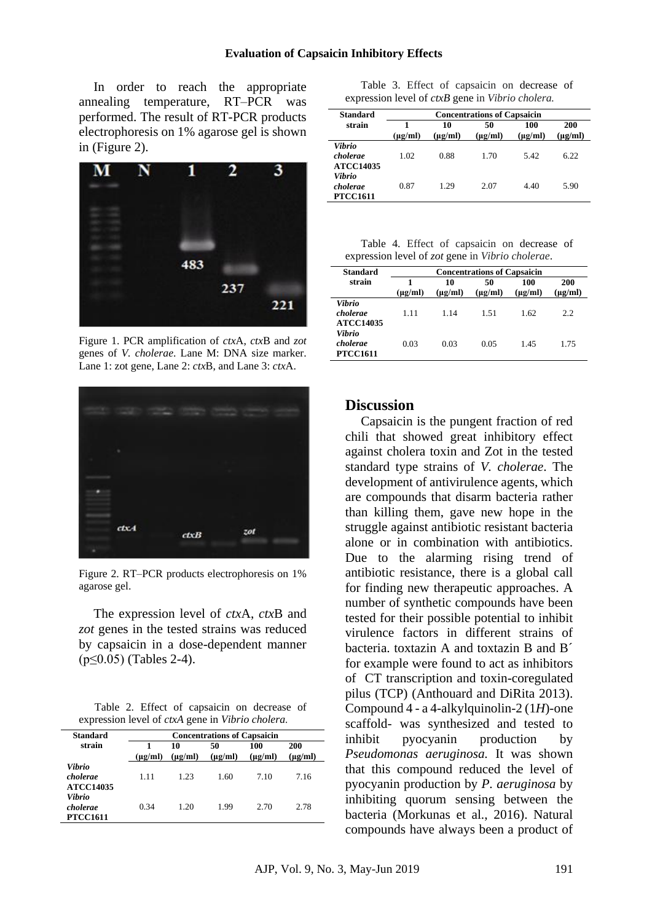In order to reach the appropriate annealing temperature, RT–PCR was performed. The result of RT-PCR products electrophoresis on 1% agarose gel is shown in (Figure 2).



Figure 1. PCR amplification of *ctx*A, *ctx*B and *zot* genes of *V. cholerae*. Lane M: DNA size marker. Lane 1: zot gene, Lane 2: *ctx*B, and Lane 3: *ctx*A.



Figure 2. RT–PCR products electrophoresis on 1% agarose gel.

The expression level of *ctx*A, *ctx*B and *zot* genes in the tested strains was reduced by capsaicin in a dose-dependent manner (p≤0.05) (Tables 2-4).

Table 2. Effect of capsaicin on decrease of expression level of *ctxA* gene in *Vibrio cholera.*

| <b>Standard</b>                        | <b>Concentrations of Capsaicin</b> |                            |                    |                     |                     |  |
|----------------------------------------|------------------------------------|----------------------------|--------------------|---------------------|---------------------|--|
| strain                                 | 1<br>$(\mu g/ml)$                  | 10<br>$(\mu \mathbf{g}/m)$ | 50<br>$(\mu g/ml)$ | 100<br>$(\mu g/ml)$ | 200<br>$(\mu g/ml)$ |  |
| Vibrio<br>cholerae<br><b>ATCC14035</b> | 1.11                               | 1.23                       | 1.60               | 7.10                | 7.16                |  |
| Vibrio<br>cholerae<br><b>PTCC1611</b>  | 0.34                               | 1.20                       | 1.99               | 2.70                | 2.78                |  |

|                                                                 |  |  |  | Table 3. Effect of capsaicin on decrease of |  |  |  |  |
|-----------------------------------------------------------------|--|--|--|---------------------------------------------|--|--|--|--|
| expression level of <i>ctxB</i> gene in <i>Vibrio cholera</i> . |  |  |  |                                             |  |  |  |  |

| <b>Standard</b>                        | <b>Concentrations of Capsaicin</b> |                    |                    |                     |                     |  |  |
|----------------------------------------|------------------------------------|--------------------|--------------------|---------------------|---------------------|--|--|
| strain                                 | $(\mu g/ml)$                       | 10<br>$(\mu g/ml)$ | 50<br>$(\mu g/ml)$ | 100<br>$(\mu$ g/ml) | 200<br>$(\mu g/ml)$ |  |  |
| Vibrio<br>cholerae<br><b>ATCC14035</b> | 1.02                               | 0.88               | 1.70               | 5.42                | 6.22                |  |  |
| Vibrio<br>cholerae<br><b>PTCC1611</b>  | 0.87                               | 1.29               | 2.07               | 4.40                | 5.90                |  |  |

Table 4. Effect of capsaicin on decrease of expression level of *zot* gene in *Vibrio cholerae*.

| <b>Standard</b>                        | <b>Concentrations of Capsaicin</b> |                    |                    |                     |                     |  |  |
|----------------------------------------|------------------------------------|--------------------|--------------------|---------------------|---------------------|--|--|
| strain                                 | 1<br>$(\mu g/ml)$                  | 10<br>$(\mu g/ml)$ | 50<br>$(\mu g/ml)$ | 100<br>$(\mu g/ml)$ | 200<br>$(\mu g/ml)$ |  |  |
| Vibrio<br>cholerae<br><b>ATCC14035</b> | 1.11                               | 1.14               | 1.51               | 1.62                | 2.2.                |  |  |
| Vibrio<br>cholerae<br><b>PTCC1611</b>  | 0.03                               | 0.03               | 0.05               | 1.45                | 1.75                |  |  |

## **Discussion**

Capsaicin is the pungent fraction of red chili that showed great inhibitory effect against cholera toxin and Zot in the tested standard type strains of *V. cholerae*. The development of antivirulence agents, which are compounds that disarm bacteria rather than killing them, gave new hope in the struggle against antibiotic resistant bacteria alone or in combination with antibiotics. Due to the alarming rising trend of antibiotic resistance, there is a global call for finding new therapeutic approaches. A number of synthetic compounds have been tested for their possible potential to inhibit virulence factors in different strains of bacteria. toxtazin A and toxtazin B and B´ for example were found to act as inhibitors of CT transcription and toxin-coregulated pilus (TCP) [\(Anthouard and DiRita 2013\)](file:///D:/AJP/Articles-2017/6-Jun/AJP-1706-1888/AJP-1706-1888%20(R1).doc%23_ENREF_3). Compound 4 - a 4-alkylquinolin-2 (1*H*)-one scaffold- was synthesized and tested to inhibit pyocyanin production by *Pseudomonas aeruginosa.* It was shown that this compound reduced the level of pyocyanin production by *P. aeruginosa* by inhibiting quorum sensing between the bacteria [\(Morkunas et al.,](file:///D:/AJP/Articles-2017/6-Jun/AJP-1706-1888/AJP-1706-1888%20(R1).doc%23_ENREF_15) 2016). Natural compounds have always been a product of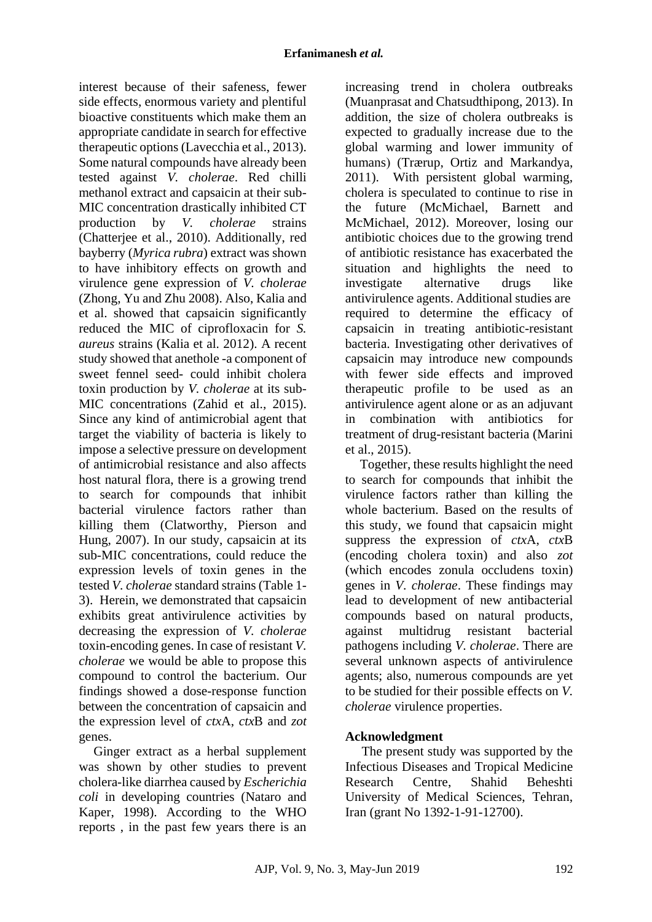interest because of their safeness, fewer side effects, enormous variety and plentiful bioactive constituents which make them an appropriate candidate in search for effective therapeutic options [\(Lavecchia et al.,](file:///D:/AJP/Articles-2017/6-Jun/AJP-1706-1888/AJP-1706-1888%20(R1).doc%23_ENREF_11) 2013). Some natural compounds have already been tested against *V. cholerae*. Red chilli methanol extract and capsaicin at their sub-MIC concentration drastically inhibited CT production by *V. cholerae* strains [\(Chatterjee et al.,](file:///D:/AJP/Articles-2017/6-Jun/AJP-1706-1888/AJP-1706-1888%20(R1).doc%23_ENREF_4) 2010). Additionally, red bayberry (*Myrica rubra*) extract was shown to have inhibitory effects on growth and virulence gene expression of *V. cholerae*  [\(Zhong, Yu and Zhu 2008\)](file:///D:/AJP/Articles-2017/6-Jun/AJP-1706-1888/AJP-1706-1888%20(R1).doc%23_ENREF_28). Also, Kalia and et al. showed that capsaicin significantly reduced the MIC of ciprofloxacin for *S. aureus* strains [\(Kalia et al. 2012\)](file:///D:/AJP/Articles-2017/6-Jun/AJP-1706-1888/AJP-1706-1888%20(R1).doc%23_ENREF_9). A recent study showed that anethole -a component of sweet fennel seed- could inhibit cholera toxin production by *V. cholerae* at its sub-MIC concentrations [\(Zahid et al.,](file:///D:/AJP/Articles-2017/6-Jun/AJP-1706-1888/AJP-1706-1888%20(R1).doc%23_ENREF_26) 2015). Since any kind of antimicrobial agent that target the viability of bacteria is likely to impose a selective pressure on development of antimicrobial resistance and also affects host natural flora, there is a growing trend to search for compounds that inhibit bacterial virulence factors rather than killing them [\(Clatworthy, Pierson and](file:///D:/AJP/Articles-2017/6-Jun/AJP-1706-1888/AJP-1706-1888%20(R1).doc%23_ENREF_5)  [Hung,](file:///D:/AJP/Articles-2017/6-Jun/AJP-1706-1888/AJP-1706-1888%20(R1).doc%23_ENREF_5) 2007). In our study, capsaicin at its sub-MIC concentrations, could reduce the expression levels of toxin genes in the tested *V. cholerae* standard strains (Table 1- 3). Herein, we demonstrated that capsaicin exhibits great antivirulence activities by decreasing the expression of *V. cholerae* toxin-encoding genes. In case of resistant *V. cholerae* we would be able to propose this compound to control the bacterium. Our findings showed a dose-response function between the concentration of capsaicin and the expression level of *ctx*A, *ctx*B and *zot* genes.

Ginger extract as a herbal supplement was shown by other studies to prevent cholera-like diarrhea caused by *Escherichia coli* in developing countries [\(Nataro and](file:///D:/AJP/Articles-2017/6-Jun/AJP-1706-1888/AJP-1706-1888%20(R1).doc%23_ENREF_17)  [Kaper,](file:///D:/AJP/Articles-2017/6-Jun/AJP-1706-1888/AJP-1706-1888%20(R1).doc%23_ENREF_17) 1998). According to the WHO reports , in the past few years there is an

increasing trend in cholera outbreaks [\(Muanprasat and Chatsudthipong,](file:///D:/AJP/Articles-2017/6-Jun/AJP-1706-1888/AJP-1706-1888%20(R1).doc%23_ENREF_16) 2013). In addition, the size of cholera outbreaks is expected to gradually increase due to the global warming and lower immunity of humans) [\(Trærup, Ortiz and Markandya,](file:///D:/AJP/Articles-2017/6-Jun/AJP-1706-1888/AJP-1706-1888%20(R1).doc%23_ENREF_25) [2011\)](file:///D:/AJP/Articles-2017/6-Jun/AJP-1706-1888/AJP-1706-1888%20(R1).doc%23_ENREF_25). With persistent global warming, cholera is speculated to continue to rise in the future [\(McMichael, Barnett and](file:///D:/AJP/Articles-2017/6-Jun/AJP-1706-1888/AJP-1706-1888%20(R1).doc%23_ENREF_14)  [McMichael,](file:///D:/AJP/Articles-2017/6-Jun/AJP-1706-1888/AJP-1706-1888%20(R1).doc%23_ENREF_14) 2012). Moreover, losing our antibiotic choices due to the growing trend of antibiotic resistance has exacerbated the situation and highlights the need to investigate alternative drugs like antivirulence agents. Additional studies are required to determine the efficacy of capsaicin in treating antibiotic-resistant bacteria. Investigating other derivatives of capsaicin may introduce new compounds with fewer side effects and improved therapeutic profile to be used as an antivirulence agent alone or as an adjuvant in combination with antibiotics for treatment of drug-resistant bacteria [\(Marini](file:///D:/AJP/Articles-2017/6-Jun/AJP-1706-1888/AJP-1706-1888%20(R1).doc%23_ENREF_13)  [et al.,](file:///D:/AJP/Articles-2017/6-Jun/AJP-1706-1888/AJP-1706-1888%20(R1).doc%23_ENREF_13) 2015).

Together, these results highlight the need to search for compounds that inhibit the virulence factors rather than killing the whole bacterium. Based on the results of this study, we found that capsaicin might suppress the expression of *ctx*A, *ctx*B (encoding cholera toxin) and also *zot* (which encodes zonula occludens toxin) genes in *V. cholerae*. These findings may lead to development of new antibacterial compounds based on natural products, against multidrug resistant bacterial pathogens including *V. cholerae*. There are several unknown aspects of antivirulence agents; also, numerous compounds are yet to be studied for their possible effects on *V. cholerae* virulence properties.

## **Acknowledgment**

 The present study was supported by the Infectious Diseases and Tropical Medicine Research Centre, Shahid Beheshti University of Medical Sciences, Tehran, Iran (grant No 1392-1-91-12700).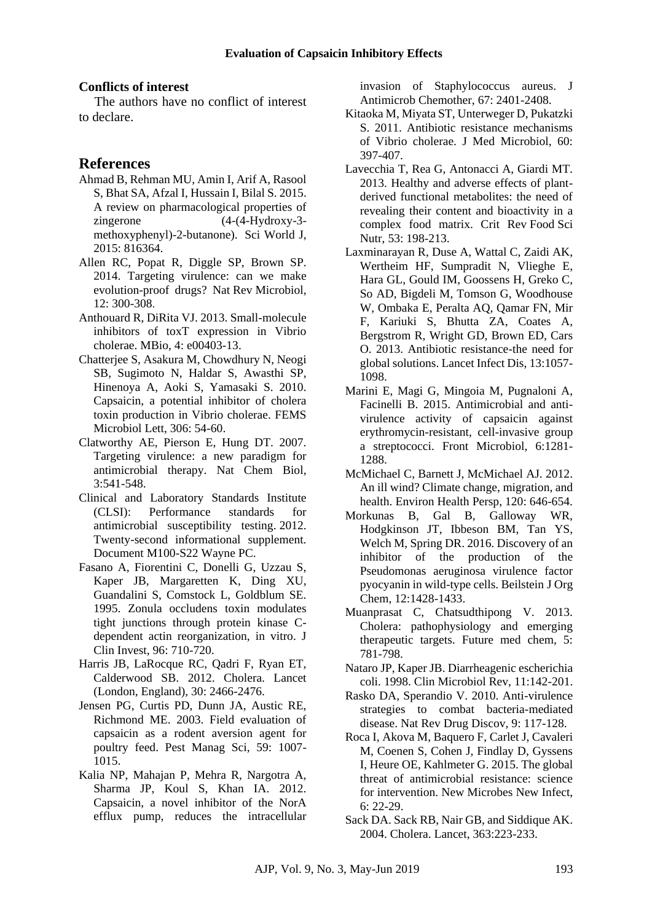#### **Conflicts of interest**

The authors have no conflict of interest to declare.

#### **References**

- Ahmad B, Rehman MU, Amin I, Arif A, Rasool S, Bhat SA, Afzal I, Hussain I, Bilal S. 2015. A review on pharmacological properties of zingerone (4-(4-Hydroxy-3 methoxyphenyl)-2-butanone). Sci World J, 2015: 816364.
- Allen RC, Popat R, Diggle SP, Brown SP. 2014. Targeting virulence: can we make evolution-proof drugs? Nat Rev Microbiol, 12: 300-308.
- Anthouard R, DiRita VJ. 2013. Small-molecule inhibitors of toxT expression in Vibrio cholerae. MBio, 4: e00403-13.
- Chatterjee S, Asakura M, Chowdhury N, Neogi SB, Sugimoto N, Haldar S, Awasthi SP, Hinenoya A, Aoki S, Yamasaki S. 2010. Capsaicin, a potential inhibitor of cholera toxin production in Vibrio cholerae. FEMS Microbiol Lett, 306: 54-60.
- Clatworthy AE, Pierson E, Hung DT. 2007. Targeting virulence: a new paradigm for antimicrobial therapy. Nat Chem Biol, 3:541-548.
- Clinical and Laboratory Standards Institute (CLSI): Performance standards for antimicrobial susceptibility testing. 2012. Twenty-second informational supplement. Document M100-S22 Wayne PC.
- Fasano A, Fiorentini C, Donelli G, Uzzau S, Kaper JB, Margaretten K, Ding XU, Guandalini S, Comstock L, Goldblum SE. 1995. Zonula occludens toxin modulates tight junctions through protein kinase Cdependent actin reorganization, in vitro. J Clin Invest, 96: 710-720.
- Harris JB, LaRocque RC, Qadri F, Ryan ET, Calderwood SB. 2012. Cholera. Lancet (London, England), 30: 2466-2476.
- Jensen PG, Curtis PD, Dunn JA, Austic RE, Richmond ME. 2003. Field evaluation of capsaicin as a rodent aversion agent for poultry feed. Pest Manag Sci, 59: 1007- 1015.
- Kalia NP, Mahajan P, Mehra R, Nargotra A, Sharma JP, Koul S, Khan IA. 2012. Capsaicin, a novel inhibitor of the NorA efflux pump, reduces the intracellular

invasion of Staphylococcus aureus. J Antimicrob Chemother, 67: 2401-2408.

- Kitaoka M, Miyata ST, Unterweger D, Pukatzki S. 2011. Antibiotic resistance mechanisms of Vibrio cholerae. J Med Microbiol, 60: 397-407.
- Lavecchia T, Rea G, Antonacci A, Giardi MT. 2013. Healthy and adverse effects of plantderived functional metabolites: the need of revealing their content and bioactivity in a complex food matrix. Crit Rev Food Sci Nutr, 53: 198-213.
- Laxminarayan R, Duse A, Wattal C, Zaidi AK, Wertheim HF, Sumpradit N, Vlieghe E, Hara GL, Gould IM, Goossens H, Greko C, So AD, Bigdeli M, Tomson G, Woodhouse W, Ombaka E, Peralta AQ, Qamar FN, Mir F, Kariuki S, Bhutta ZA, Coates A, Bergstrom R, Wright GD, Brown ED, Cars O. 2013. Antibiotic resistance-the need for global solutions. Lancet Infect Dis, 13:1057- 1098.
- Marini E, Magi G, Mingoia M, Pugnaloni A, Facinelli B. 2015. Antimicrobial and antivirulence activity of capsaicin against erythromycin-resistant, cell-invasive group a streptococci. [Front Microbiol,](https://www.ncbi.nlm.nih.gov/pubmed/?term=Antimicrobial+and+anti-virulence+activity+of+capsaicin+against+erythromycin-resistant%2C+cell-%E2%80%8Einvasive+%E2%80%8E) 6:1281- 1288
- McMichael C, Barnett J, McMichael AJ. 2012. An ill wind? Climate change, migration, and health. Environ Health Persp, 120: 646-654.
- Morkunas B, Gal B, Galloway WR, Hodgkinson JT, Ibbeson BM, Tan YS, Welch M, Spring DR. 2016. Discovery of an inhibitor of the production of the Pseudomonas aeruginosa virulence factor pyocyanin in wild-type cells. Beilstein J Org Chem, 12:1428-1433.
- Muanprasat C, Chatsudthipong V. 2013. Cholera: pathophysiology and emerging therapeutic targets. Future med chem, 5: 781-798.
- Nataro JP, Kaper JB. Diarrheagenic escherichia coli. 1998. Clin Microbiol Rev, 11:142-201.
- Rasko DA, Sperandio V. 2010. Anti-virulence strategies to combat bacteria-mediated disease. Nat Rev Drug Discov, 9: 117-128.
- Roca I, Akova M, Baquero F, Carlet J, Cavaleri M, Coenen S, Cohen J, Findlay D, Gyssens I, Heure OE, Kahlmeter G. 2015. The global threat of antimicrobial resistance: science for intervention. New Microbes New Infect, 6: 22-29.
- Sack DA. Sack RB, Nair GB, and Siddique AK. 2004. Cholera. Lancet, 363:223-233.